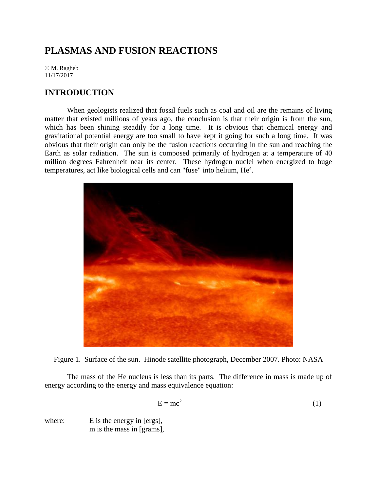# **PLASMAS AND FUSION REACTIONS**

© M. Ragheb 11/17/2017

# **INTRODUCTION**

When geologists realized that fossil fuels such as coal and oil are the remains of living matter that existed millions of years ago, the conclusion is that their origin is from the sun, which has been shining steadily for a long time. It is obvious that chemical energy and gravitational potential energy are too small to have kept it going for such a long time. It was obvious that their origin can only be the fusion reactions occurring in the sun and reaching the Earth as solar radiation. The sun is composed primarily of hydrogen at a temperature of 40 million degrees Fahrenheit near its center. These hydrogen nuclei when energized to huge temperatures, act like biological cells and can "fuse" into helium, He<sup>4</sup>.



Figure 1. Surface of the sun. Hinode satellite photograph, December 2007. Photo: NASA

The mass of the He nucleus is less than its parts. The difference in mass is made up of energy according to the energy and mass equivalence equation:

$$
E = mc^2 \tag{1}
$$

where: E is the energy in [ergs], m is the mass in [grams],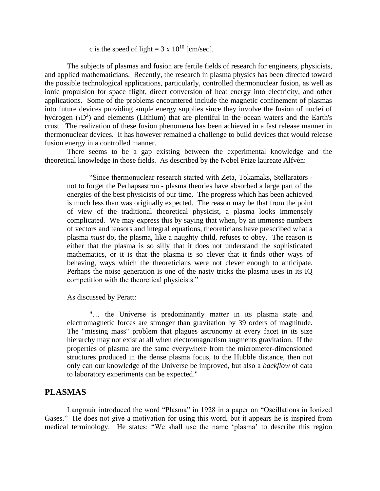c is the speed of light =  $3 \times 10^{10}$  [cm/sec].

The subjects of plasmas and fusion are fertile fields of research for engineers, physicists, and applied mathematicians. Recently, the research in plasma physics has been directed toward the possible technological applications, particularly, controlled thermonuclear fusion, as well as ionic propulsion for space flight, direct conversion of heat energy into electricity, and other applications. Some of the problems encountered include the magnetic confinement of plasmas into future devices providing ample energy supplies since they involve the fusion of nuclei of hydrogen  $(1D^2)$  and elements (Lithium) that are plentiful in the ocean waters and the Earth's crust. The realization of these fusion phenomena has been achieved in a fast release manner in thermonuclear devices. It has however remained a challenge to build devices that would release fusion energy in a controlled manner.

There seems to be a gap existing between the experimental knowledge and the theoretical knowledge in those fields. As described by the Nobel Prize laureate Alfvèn:

"Since thermonuclear research started with Zeta, Tokamaks, Stellarators not to forget the Perhapsastron - plasma theories have absorbed a large part of the energies of the best physicists of our time. The progress which has been achieved is much less than was originally expected. The reason may be that from the point of view of the traditional theoretical physicist, a plasma looks immensely complicated. We may express this by saying that when, by an immense numbers of vectors and tensors and integral equations, theoreticians have prescribed what a plasma *must* do, the plasma, like a naughty child, refuses to obey. The reason is either that the plasma is so silly that it does not understand the sophisticated mathematics, or it is that the plasma is so clever that it finds other ways of behaving, ways which the theoreticians were not clever enough to anticipate. Perhaps the noise generation is one of the nasty tricks the plasma uses in its IQ competition with the theoretical physicists."

As discussed by Peratt:

"… the Universe is predominantly matter in its plasma state and electromagnetic forces are stronger than gravitation by 39 orders of magnitude. The "missing mass" problem that plagues astronomy at every facet in its size hierarchy may not exist at all when electromagnetism augments gravitation. If the properties of plasma are the same everywhere from the micrometer-dimensioned structures produced in the dense plasma focus, to the Hubble distance, then not only can our knowledge of the Universe be improved, but also a *backflow* of data to laboratory experiments can be expected."

# **PLASMAS**

Langmuir introduced the word "Plasma" in 1928 in a paper on "Oscillations in Ionized Gases." He does not give a motivation for using this word, but it appears he is inspired from medical terminology. He states: "We shall use the name 'plasma' to describe this region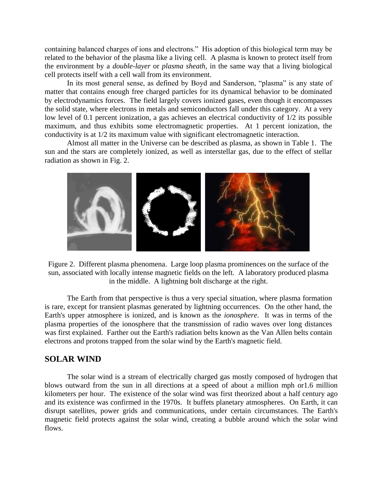containing balanced charges of ions and electrons." His adoption of this biological term may be related to the behavior of the plasma like a living cell. A plasma is known to protect itself from the environment by a *double-layer* or *plasma sheath*, in the same way that a living biological cell protects itself with a cell wall from its environment.

In its most general sense, as defined by Boyd and Sanderson, "plasma" is any state of matter that contains enough free charged particles for its dynamical behavior to be dominated by electrodynamics forces. The field largely covers ionized gases, even though it encompasses the solid state, where electrons in metals and semiconductors fall under this category. At a very low level of 0.1 percent ionization, a gas achieves an electrical conductivity of 1/2 its possible maximum, and thus exhibits some electromagnetic properties. At 1 percent ionization, the conductivity is at 1/2 its maximum value with significant electromagnetic interaction.

Almost all matter in the Universe can be described as plasma, as shown in Table 1. The sun and the stars are completely ionized, as well as interstellar gas, due to the effect of stellar radiation as shown in Fig. 2.



Figure 2. Different plasma phenomena. Large loop plasma prominences on the surface of the sun, associated with locally intense magnetic fields on the left. A laboratory produced plasma in the middle. A lightning bolt discharge at the right.

The Earth from that perspective is thus a very special situation, where plasma formation is rare, except for transient plasmas generated by lightning occurrences. On the other hand, the Earth's upper atmosphere is ionized, and is known as the *ionosphere*. It was in terms of the plasma properties of the ionosphere that the transmission of radio waves over long distances was first explained. Farther out the Earth's radiation belts known as the Van Allen belts contain electrons and protons trapped from the solar wind by the Earth's magnetic field.

# **SOLAR WIND**

The solar wind is a stream of electrically charged gas mostly composed of hydrogen that blows outward from the sun in all directions at a speed of about a million mph or1.6 million kilometers per hour. The existence of the solar wind was first theorized about a half century ago and its existence was confirmed in the 1970s. It buffets planetary atmospheres. On Earth, it can disrupt satellites, power grids and communications, under certain circumstances. The Earth's magnetic field protects against the solar wind, creating a bubble around which the solar wind flows.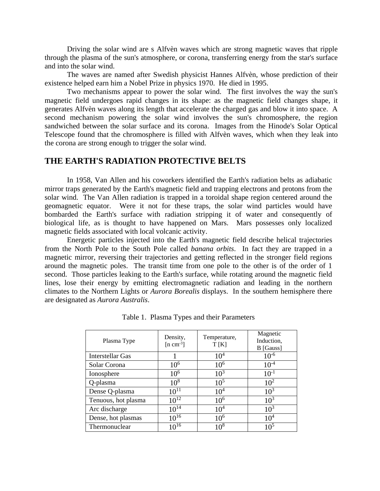Driving the solar wind are s Alfvèn waves which are strong magnetic waves that ripple through the plasma of the sun's atmosphere, or corona, transferring energy from the star's surface and into the solar wind.

The waves are named after Swedish physicist Hannes Alfvèn, whose prediction of their existence helped earn him a Nobel Prize in physics 1970. He died in 1995.

Two mechanisms appear to power the solar wind. The first involves the way the sun's magnetic field undergoes rapid changes in its shape: as the magnetic field changes shape, it generates Alfvèn waves along its length that accelerate the charged gas and blow it into space. A second mechanism powering the solar wind involves the sun's chromosphere, the region sandwiched between the solar surface and its corona. Images from the Hinode's Solar Optical Telescope found that the chromosphere is filled with Alfvèn waves, which when they leak into the corona are strong enough to trigger the solar wind.

# **THE EARTH'S RADIATION PROTECTIVE BELTS**

In 1958, Van Allen and his coworkers identified the Earth's radiation belts as adiabatic mirror traps generated by the Earth's magnetic field and trapping electrons and protons from the solar wind. The Van Allen radiation is trapped in a toroidal shape region centered around the geomagnetic equator. Were it not for these traps, the solar wind particles would have bombarded the Earth's surface with radiation stripping it of water and consequently of biological life, as is thought to have happened on Mars. Mars possesses only localized magnetic fields associated with local volcanic activity.

Energetic particles injected into the Earth's magnetic field describe helical trajectories from the North Pole to the South Pole called *banana orbits*. In fact they are trapped in a magnetic mirror, reversing their trajectories and getting reflected in the stronger field regions around the magnetic poles. The transit time from one pole to the other is of the order of 1 second. Those particles leaking to the Earth's surface, while rotating around the magnetic field lines, lose their energy by emitting electromagnetic radiation and leading in the northern climates to the Northern Lights or *Aurora Borealis* displays. In the southern hemisphere there are designated as *Aurora Australis*.

| Plasma Type         | Density,<br>[n cm <sup>-3</sup> ] | Temperature,<br>T[K] | Magnetic<br>Induction,<br><b>B</b> [Gauss] |
|---------------------|-----------------------------------|----------------------|--------------------------------------------|
| Interstellar Gas    |                                   | $10^{4}$             | $10^{-6}$                                  |
| Solar Corona        | 10 <sup>6</sup>                   | $10^{6}$             | $10^{-4}$                                  |
| Ionosphere          | $10^{6}$                          | $10^{3}$             | $10^{-1}$                                  |
| Q-plasma            | $10^{8}$                          | $10^{5}$             | $10^{2}$                                   |
| Dense Q-plasma      | $10^{11}$                         | $10^{4}$             | $10^{3}$                                   |
| Tenuous, hot plasma | $10^{12}$                         | $10^{6}$             | $10^3$                                     |
| Arc discharge       | $10^{14}$                         | 10 <sup>4</sup>      | $10^3$                                     |
| Dense, hot plasmas  | $10^{16}$                         | 10 <sup>6</sup>      | 10 <sup>4</sup>                            |
| Thermonuclear       | $10^{16}$                         | $10^{8}$             | 105                                        |

Table 1. Plasma Types and their Parameters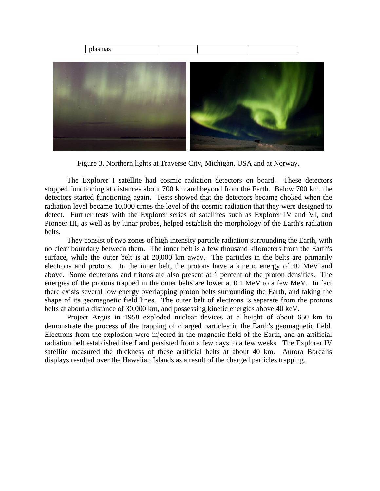

Figure 3. Northern lights at Traverse City, Michigan, USA and at Norway.

The Explorer I satellite had cosmic radiation detectors on board. These detectors stopped functioning at distances about 700 km and beyond from the Earth. Below 700 km, the detectors started functioning again. Tests showed that the detectors became choked when the radiation level became 10,000 times the level of the cosmic radiation that they were designed to detect. Further tests with the Explorer series of satellites such as Explorer IV and VI, and Pioneer III, as well as by lunar probes, helped establish the morphology of the Earth's radiation belts.

They consist of two zones of high intensity particle radiation surrounding the Earth, with no clear boundary between them. The inner belt is a few thousand kilometers from the Earth's surface, while the outer belt is at 20,000 km away. The particles in the belts are primarily electrons and protons. In the inner belt, the protons have a kinetic energy of 40 MeV and above. Some deuterons and tritons are also present at 1 percent of the proton densities. The energies of the protons trapped in the outer belts are lower at 0.1 MeV to a few MeV. In fact there exists several low energy overlapping proton belts surrounding the Earth, and taking the shape of its geomagnetic field lines. The outer belt of electrons is separate from the protons belts at about a distance of 30,000 km, and possessing kinetic energies above 40 keV.

Project Argus in 1958 exploded nuclear devices at a height of about 650 km to demonstrate the process of the trapping of charged particles in the Earth's geomagnetic field. Electrons from the explosion were injected in the magnetic field of the Earth, and an artificial radiation belt established itself and persisted from a few days to a few weeks. The Explorer IV satellite measured the thickness of these artificial belts at about 40 km. Aurora Borealis displays resulted over the Hawaiian Islands as a result of the charged particles trapping.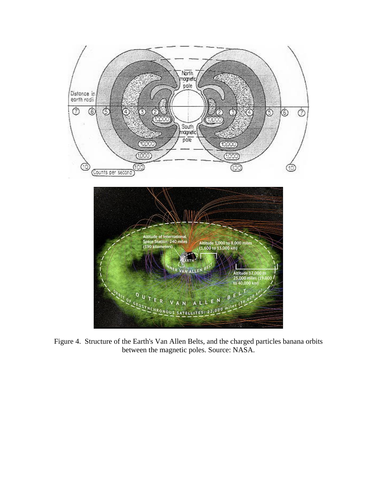

Figure 4. Structure of the Earth's Van Allen Belts, and the charged particles banana orbits between the magnetic poles. Source: NASA.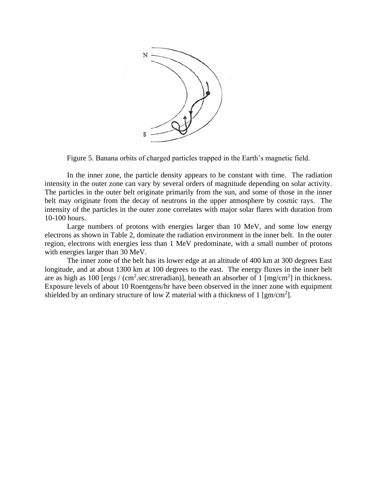

Figure 5. Banana orbits of charged particles trapped in the Earth's magnetic field.

In the inner zone, the particle density appears to be constant with time. The radiation intensity in the outer zone can vary by several orders of magnitude depending on solar activity. The particles in the outer belt originate primarily from the sun, and some of those in the inner belt may originate from the decay of neutrons in the upper atmosphere by cosmic rays. The intensity of the particles in the outer zone correlates with major solar flares with duration from 10-100 hours.

Large numbers of protons with energies larger than 10 MeV, and some low energy electrons as shown in Table 2, dominate the radiation environment in the inner belt. In the outer region, electrons with energies less than 1 MeV predominate, with a small number of protons with energies larger than 30 MeV.

The inner zone of the belt has its lower edge at an altitude of 400 km at 300 degrees East longitude, and at about 1300 km at 100 degrees to the east. The energy fluxes in the inner belt are as high as 100 [ergs /  $(cm<sup>2</sup>$ .sec.streradian)], beneath an absorber of 1 [mg/cm<sup>2</sup>] in thickness. Exposure levels of about 10 Roentgens/hr have been observed in the inner zone with equipment shielded by an ordinary structure of low Z material with a thickness of 1 [ $g$ m/cm<sup>2</sup>].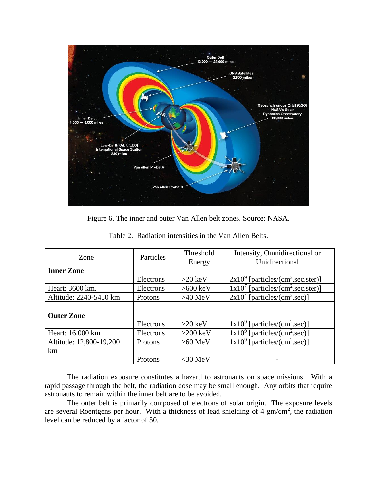

Figure 6. The inner and outer Van Allen belt zones. Source: NASA.

| Zone                    | Particles | Threshold  | Intensity, Omnidirectional or                    |
|-------------------------|-----------|------------|--------------------------------------------------|
|                         |           | Energy     | Unidirectional                                   |
| <b>Inner Zone</b>       |           |            |                                                  |
|                         | Electrons | $>20$ keV  | $2x10^9$ [particles/(cm <sup>2</sup> .sec.ster)] |
| Heart: 3600 km.         | Electrons | $>600$ keV | $1x10^7$ [particles/(cm <sup>2</sup> .sec.ster)] |
| Altitude: 2240-5450 km  | Protons   | $>40$ MeV  | $2x10^4$ [particles/(cm <sup>2</sup> .sec)]      |
|                         |           |            |                                                  |
| <b>Outer Zone</b>       |           |            |                                                  |
|                         | Electrons | $>20$ keV  | $1x10^9$ [particles/(cm <sup>2</sup> .sec)]      |
| Heart: 16,000 km        | Electrons | $>200$ keV | $1x10^9$ [particles/(cm <sup>2</sup> .sec)]      |
| Altitude: 12,800-19,200 | Protons   | $>60$ MeV  | $1x10^9$ [particles/(cm <sup>2</sup> .sec)]      |
| km                      |           |            |                                                  |
|                         | Protons   | $<$ 30 MeV |                                                  |

Table 2. Radiation intensities in the Van Allen Belts.

The radiation exposure constitutes a hazard to astronauts on space missions. With a rapid passage through the belt, the radiation dose may be small enough. Any orbits that require astronauts to remain within the inner belt are to be avoided.

The outer belt is primarily composed of electrons of solar origin. The exposure levels are several Roentgens per hour. With a thickness of lead shielding of  $4 \text{ gm/cm}^2$ , the radiation level can be reduced by a factor of 50.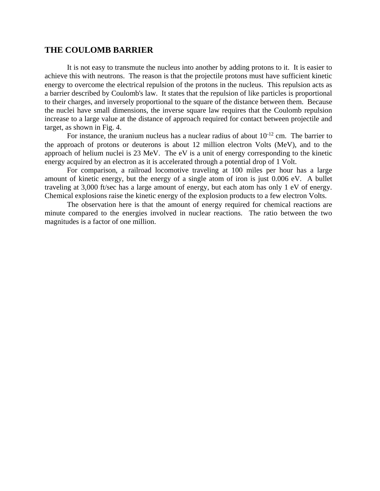# **THE COULOMB BARRIER**

It is not easy to transmute the nucleus into another by adding protons to it. It is easier to achieve this with neutrons. The reason is that the projectile protons must have sufficient kinetic energy to overcome the electrical repulsion of the protons in the nucleus. This repulsion acts as a barrier described by Coulomb's law. It states that the repulsion of like particles is proportional to their charges, and inversely proportional to the square of the distance between them. Because the nuclei have small dimensions, the inverse square law requires that the Coulomb repulsion increase to a large value at the distance of approach required for contact between projectile and target, as shown in Fig. 4.

For instance, the uranium nucleus has a nuclear radius of about  $10^{-12}$  cm. The barrier to the approach of protons or deuterons is about 12 million electron Volts (MeV), and to the approach of helium nuclei is 23 MeV. The eV is a unit of energy corresponding to the kinetic energy acquired by an electron as it is accelerated through a potential drop of 1 Volt.

For comparison, a railroad locomotive traveling at 100 miles per hour has a large amount of kinetic energy, but the energy of a single atom of iron is just 0.006 eV. A bullet traveling at 3,000 ft/sec has a large amount of energy, but each atom has only 1 eV of energy. Chemical explosions raise the kinetic energy of the explosion products to a few electron Volts.

The observation here is that the amount of energy required for chemical reactions are minute compared to the energies involved in nuclear reactions. The ratio between the two magnitudes is a factor of one million.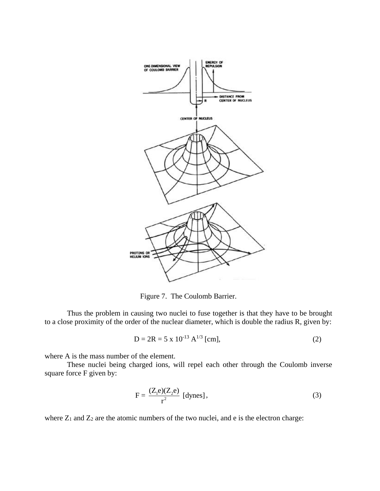

Figure 7. The Coulomb Barrier.

Thus the problem in causing two nuclei to fuse together is that they have to be brought to a close proximity of the order of the nuclear diameter, which is double the radius R, given by:

$$
D = 2R = 5 \times 10^{-13} A^{1/3} [cm],
$$
 (2)

where A is the mass number of the element.

These nuclei being charged ions, will repel each other through the Coulomb inverse square force F given by:

$$
F = \frac{(Z_1 e)(Z_2 e)}{r^2}
$$
 [dynes], (3)

where  $Z_1$  and  $Z_2$  are the atomic numbers of the two nuclei, and e is the electron charge: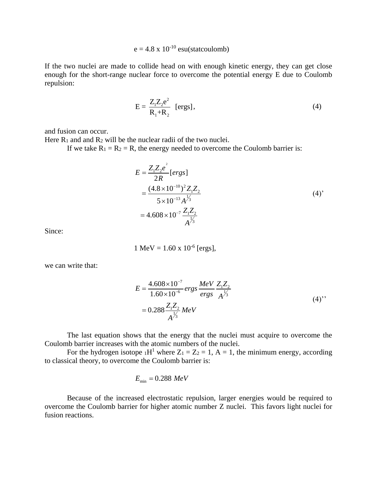$e = 4.8 \times 10^{-10}$  esu(statcoulomb)

If the two nuclei are made to collide head on with enough kinetic energy, they can get close enough for the short-range nuclear force to overcome the potential energy E due to Coulomb repulsion:

$$
E = \frac{Z_1 Z_2 e^2}{R_1 + R_2} \quad \text{[ergs]},\tag{4}
$$

and fusion can occur.

Here  $R_1$  and and  $R_2$  will be the nuclear radii of the two nuclei.

If we take  $R_1 = R_2 = R$ , the energy needed to overcome the Coulomb barrier is:

$$
E = \frac{Z_1 Z_2 e^2}{2R} [ergs]
$$
  
= 
$$
\frac{(4.8 \times 10^{-10})^2 Z_1 Z_2}{5 \times 10^{-13} A^{\frac{1}{3}}}
$$
  
= 
$$
4.608 \times 10^{-7} \frac{Z_1 Z_2}{A^{\frac{1}{3}}}
$$
 (4)

Since:

$$
1 \text{ MeV} = 1.60 \text{ x } 10^{-6} \text{ [ergs]},
$$

we can write that:

$$
E = \frac{4.608 \times 10^{-7}}{1.60 \times 10^{-6}} ergs \frac{MeV}{ergs} \frac{Z_1 Z_2}{A^{\frac{1}{3}}} = 0.288 \frac{Z_1 Z_2}{A^{\frac{1}{3}}} MeV
$$
\n(4)

The last equation shows that the energy that the nuclei must acquire to overcome the Coulomb barrier increases with the atomic numbers of the nuclei.

For the hydrogen isotope  $_1H^1$  where  $Z_1 = Z_2 = 1$ ,  $A = 1$ , the minimum energy, according to classical theory, to overcome the Coulomb barrier is:

$$
E_{\min} = 0.288 \; MeV
$$

Because of the increased electrostatic repulsion, larger energies would be required to overcome the Coulomb barrier for higher atomic number Z nuclei. This favors light nuclei for fusion reactions.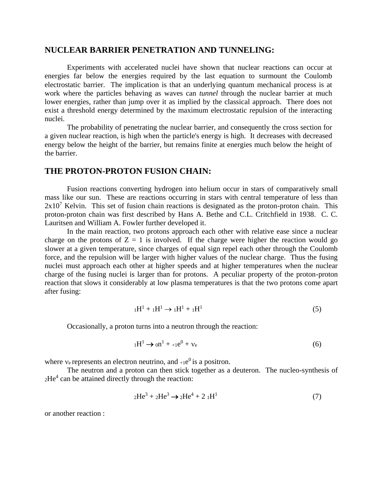### **NUCLEAR BARRIER PENETRATION AND TUNNELING:**

Experiments with accelerated nuclei have shown that nuclear reactions can occur at energies far below the energies required by the last equation to surmount the Coulomb electrostatic barrier. The implication is that an underlying quantum mechanical process is at work where the particles behaving as waves can *tunnel* through the nuclear barrier at much lower energies, rather than jump over it as implied by the classical approach. There does not exist a threshold energy determined by the maximum electrostatic repulsion of the interacting nuclei.

The probability of penetrating the nuclear barrier, and consequently the cross section for a given nuclear reaction, is high when the particle's energy is high. It decreases with decreased energy below the height of the barrier, but remains finite at energies much below the height of the barrier.

# **THE PROTON-PROTON FUSION CHAIN:**

Fusion reactions converting hydrogen into helium occur in stars of comparatively small mass like our sun. These are reactions occurring in stars with central temperature of less than  $2x10<sup>7</sup>$  Kelvin. This set of fusion chain reactions is designated as the proton-proton chain. This proton-proton chain was first described by Hans A. Bethe and C.L. Critchfield in 1938. C. C. Lauritsen and William A. Fowler further developed it.

In the main reaction, two protons approach each other with relative ease since a nuclear charge on the protons of  $Z = 1$  is involved. If the charge were higher the reaction would go slower at a given temperature, since charges of equal sign repel each other through the Coulomb force, and the repulsion will be larger with higher values of the nuclear charge. Thus the fusing nuclei must approach each other at higher speeds and at higher temperatures when the nuclear charge of the fusing nuclei is larger than for protons. A peculiar property of the proton-proton reaction that slows it considerably at low plasma temperatures is that the two protons come apart after fusing:

$$
{}_{1}H^{1} + {}_{1}H^{1} \rightarrow {}_{1}H^{1} + {}_{1}H^{1}
$$
 (5)

Occasionally, a proton turns into a neutron through the reaction:

$$
{}_{1}\mathrm{H}^{1} \rightarrow 0\mathrm{n}^{1} + {}_{+1}\mathrm{e}^{0} + \nu_{e}
$$
 (6)

where ve represents an electron neutrino, and  $+ie^{0}$  is a positron.

The neutron and a proton can then stick together as a deuteron. The nucleo-synthesis of  $_{2}$ He<sup>4</sup> can be attained directly through the reaction:

$$
{}_{2}\text{He}^{3} + {}_{2}\text{He}^{3} \rightarrow {}_{2}\text{He}^{4} + 2 {}_{1}\text{H}^{1}
$$
\n<sup>(7)</sup>

or another reaction :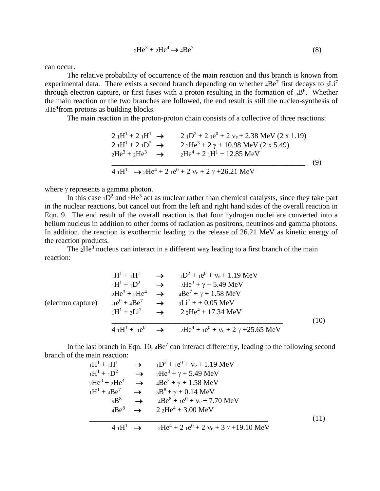$$
{}_{2}\text{He}^{3} + {}_{2}\text{He}^{4} \rightarrow {}_{4}\text{Be}^{7}
$$
 (8)

can occur.

The relative probability of occurrence of the main reaction and this branch is known from experimental data. There exists a second branch depending on whether  $4Be^7$  first decays to  $3Li^7$ through electron capture, or first fuses with a proton resulting in the formation of  $5B<sup>8</sup>$ . Whether the main reaction or the two branches are followed, the end result is still the nucleo-synthesis of  $2He<sup>4</sup>$  from protons as building blocks.

The main reaction in the proton-proton chain consists of a collective of three reactions:

$$
2 H^{1} + 2 H^{1} \rightarrow 2 H^{2} + 2 H^{0} + 2 V_{e} + 2.38 \text{ MeV} (2 \times 1.19)
$$
  
\n
$$
2 H^{1} + 2 H^{2} \rightarrow 2 H^{2} + 2 \gamma + 10.98 \text{ MeV} (2 \times 5.49)
$$
  
\n
$$
2 H^{3} + 2 H^{3} \rightarrow 2 H^{4} + 2 H^{1} + 12.85 \text{ MeV}
$$
  
\n
$$
4 H^{1} \rightarrow 2 H^{4} + 2 H^{0} + 2 V_{e} + 2 \gamma + 26.21 \text{ MeV}
$$
  
\n(9)

where  $\gamma$  represents a gamma photon.

In this case  $1D^2$  and  $2He^3$  act as nuclear rather than chemical catalysts, since they take part in the nuclear reactions, but cancel out from the left and right hand sides of the overall reaction in Eqn. 9. The end result of the overall reaction is that four hydrogen nuclei are converted into a helium nucleus in addition to other forms of radiation as positrons, neutrinos and gamma photons. In addition, the reaction is exothermic leading to the release of 26.21 MeV as kinetic energy of the reaction products.

The  $2He<sup>3</sup>$  nucleus can interact in a different way leading to a first branch of the main reaction:

$$
{}_{1}H^{1} + {}_{1}H^{1} \longrightarrow {}_{1}D^{2} + {}_{1}e^{0} + v_{e} + 1.19 \text{ MeV}
$$
  
\n
$$
{}_{1}H^{1} + {}_{1}D^{2} \longrightarrow {}_{2}He^{3} + \gamma + 5.49 \text{ MeV}
$$
  
\n
$$
{}_{2}He^{3} + {}_{2}He^{4} \longrightarrow {}_{4}Be^{7} + \gamma + 1.58 \text{ MeV}
$$
  
\n(electron capture) 
$$
{}_{-1}e^{0} + {}_{4}Be^{7} \longrightarrow {}_{3}Li^{7} + 0.05 \text{ MeV}
$$
  
\n
$$
{}_{1}H^{1} + {}_{3}Li^{7} \longrightarrow {}_{2}2He^{4} + 17.34 \text{ MeV}
$$
  
\n
$$
{}_{4}{}_{1}H^{1} + {}_{-1}e^{0} \longrightarrow {}_{2}He^{4} + {}_{1}e^{0} + v_{e} + 2 \gamma + 25.65 \text{ MeV}
$$
  
\n(10)

In the last branch in Eqn. 10,  $_4\text{Be}^7$  can interact differently, leading to the following second branch of the main reaction:

$$
{}_{1}H^{1} + {}_{1}H^{1} \rightarrow {}_{1}D^{2} + {}_{1}e^{0} + v_{e} + 1.19 \text{ MeV}
$$
  
\n
$$
{}_{1}H^{1} + {}_{1}D^{2} \rightarrow {}_{2}He^{3} + \gamma + 5.49 \text{ MeV}
$$
  
\n
$$
{}_{2}He^{3} + {}_{2}He^{4} \rightarrow {}_{4}Be^{7} + \gamma + 1.58 \text{ MeV}
$$
  
\n
$$
{}_{1}H^{1} + {}_{4}Be^{7} \rightarrow {}_{5}B^{8} + \gamma + 0.14 \text{ MeV}
$$
  
\n
$$
{}_{5}B^{8} \rightarrow {}_{4}Be^{8} + {}_{1}e^{0} + v_{e} + 7.70 \text{ MeV}
$$
  
\n
$$
{}_{4}Be^{8} \rightarrow {}_{2}2He^{4} + 3.00 \text{ MeV}
$$
  
\n
$$
{}_{4}{}_{1}H^{1} \rightarrow {}_{2}He^{4} + 2 {}_{1}e^{0} + 2 v_{e} + 3 \gamma + 19.10 \text{ MeV}
$$
  
\n(11)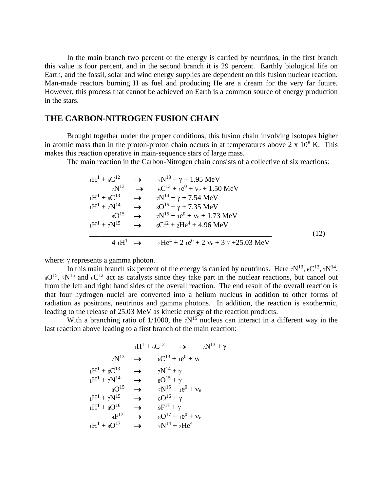In the main branch two percent of the energy is carried by neutrinos, in the first branch this value is four percent, and in the second branch it is 29 percent. Earthly biological life on Earth, and the fossil, solar and wind energy supplies are dependent on this fusion nuclear reaction. Man-made reactors burning H as fuel and producing He are a dream for the very far future. However, this process that cannot be achieved on Earth is a common source of energy production in the stars.

# **THE CARBON-NITROGEN FUSION CHAIN**

Brought together under the proper conditions, this fusion chain involving isotopes higher in atomic mass than in the proton-proton chain occurs in at temperatures above  $2 \times 10^8$  K. This makes this reaction operative in main-sequence stars of large mass.

The main reaction in the Carbon-Nitrogen chain consists of a collective of six reactions:

$$
iH^{1} + 6C^{12} \rightarrow 7N^{13} + \gamma + 1.95 \text{ MeV}
$$
\n
$$
iH^{1} + 6C^{13} \rightarrow 7N^{14} + \gamma + 7.54 \text{ MeV}
$$
\n
$$
iH^{1} + 7N^{14} \rightarrow 8O^{15} + \gamma + 7.35 \text{ MeV}
$$
\n
$$
iH^{1} + 7N^{14} \rightarrow 8O^{15} + \gamma + 7.35 \text{ MeV}
$$
\n
$$
iH^{1} + 7N^{15} \rightarrow 6C^{12} + 2He^{4} + 4.96 \text{ MeV}
$$
\n
$$
iH^{1} + 7N^{15} \rightarrow 6C^{12} + 2He^{4} + 4.96 \text{ MeV}
$$
\n
$$
4 \text{ } iH^{1} \rightarrow 2He^{4} + 2 \text{ } ie^{0} + 2 \text{ } v_{e} + 3 \text{ } \gamma + 25.03 \text{ MeV}
$$
\n
$$
(12)
$$

where:  $\gamma$  represents a gamma photon.

In this main branch six percent of the energy is carried by neutrinos. Here  $7N^{13}$ ,  $6C^{13}$ ,  $7N^{14}$ ,  $8O^{15}$ ,  $7N^{15}$  and  $6C^{12}$  act as catalysts since they take part in the nuclear reactions, but cancel out from the left and right hand sides of the overall reaction. The end result of the overall reaction is that four hydrogen nuclei are converted into a helium nucleus in addition to other forms of radiation as positrons, neutrinos and gamma photons. In addition, the reaction is exothermic, leading to the release of 25.03 MeV as kinetic energy of the reaction products.

With a branching ratio of  $1/1000$ , the  $7N^{15}$  nucleus can interact in a different way in the last reaction above leading to a first branch of the main reaction:

$$
{}_{1}H^{1} + {}_{6}C^{12} \longrightarrow {}_{7}N^{13} + \gamma
$$
\n
$$
{}_{1}H^{1} + {}_{6}C^{13} \longrightarrow {}_{6}C^{13} + {}_{1}e^{0} + \nu_{e}
$$
\n
$$
{}_{1}H^{1} + {}_{7}N^{14} \longrightarrow {}_{8}O^{15} + \gamma
$$
\n
$$
{}_{1}H^{1} + {}_{7}N^{14} \longrightarrow {}_{8}O^{15} + \gamma
$$
\n
$$
{}_{1}H^{1} + {}_{7}N^{15} \longrightarrow {}_{8}O^{16} + \gamma
$$
\n
$$
{}_{1}H^{1} + {}_{8}O^{16} \longrightarrow {}_{9}F^{17} + \gamma
$$
\n
$$
{}_{9}F^{17} \longrightarrow {}_{8}O^{17} + {}_{1}e^{0} + \nu_{e}
$$
\n
$$
{}_{1}H^{1} + {}_{8}O^{17} \longrightarrow {}_{7}N^{14} + {}_{2}He^{4}
$$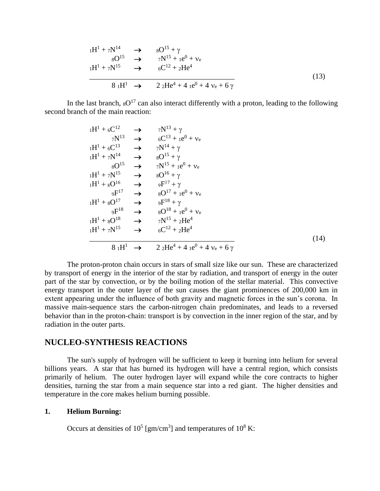$$
1H^{1} + 7N^{14} \rightarrow 8O^{15} + \gamma
$$
  
\n
$$
1H^{1} + 7N^{15} \rightarrow 6C^{12} + 2He^{4}
$$
  
\n
$$
8 {}_{1}H^{1} \rightarrow 2 {}_{2}He^{4} + 4 {}_{1}e^{0} + 4 \nu_{e} + 6 \gamma
$$
\n(13)

In the last branch,  $8O^{17}$  can also interact differently with a proton, leading to the following second branch of the main reaction:

| $_1H^1 + 6C^{12}$                   |               | $\rightarrow$ $7N^{13} + \gamma$                                                                                       |      |
|-------------------------------------|---------------|------------------------------------------------------------------------------------------------------------------------|------|
| $7N^{13}$                           |               | $\rightarrow$ ${}_{6}C^{13} + {}_{1}e^{0} + {}_{1}e^{0}$                                                               |      |
| $1H^1 + 6C^{13}$                    |               | $\rightarrow$ $7N^{14} + \gamma$                                                                                       |      |
| $_{1}H^{1} + 7N^{14}$               |               | $\rightarrow$ $8O^{15} + \gamma$                                                                                       |      |
| $8{\rm O}^{15}$                     |               | $\rightarrow$ $7N^{15} + 1e^{0} + v_{e}$                                                                               |      |
| $_{1}H^{1} + 7N^{15}$               |               | $\rightarrow$ $8\text{O}^{16} + \gamma$                                                                                |      |
| $_1H^1 + 8O^{16}$                   |               | $\rightarrow$ $9F^{17} + \gamma$                                                                                       |      |
| 9 $\rm F^{17}$                      |               | $\rightarrow$ $8O^{17} + 1e^{0} + v_{e}$                                                                               |      |
| $_1H^1 + 8O^{17}$                   | $\rightarrow$ | $9F^{18} + \gamma$                                                                                                     |      |
| $9F^{18}$                           |               | $\rightarrow$ $8O^{18} + 1e^{0} + v_{e}$                                                                               |      |
| $_1\mathrm{H}^1 + 8\mathrm{O}^{18}$ |               | $\rightarrow$ $7N^{15} + 2He^4$                                                                                        |      |
| $_{1}H^{1} + 7N^{15}$               | $\rightarrow$ | $_{6}C^{12} + _{2}He^{4}$                                                                                              |      |
|                                     |               |                                                                                                                        | (14) |
|                                     |               | $8 \text{ }\mathrm{1H}^1 \rightarrow 2 \text{ }\mathrm{2He}^4 + 4 \text{ }\mathrm{1e}^0 + 4 \text{ }v_e + 6 \text{ }v$ |      |

The proton-proton chain occurs in stars of small size like our sun. These are characterized by transport of energy in the interior of the star by radiation, and transport of energy in the outer part of the star by convection, or by the boiling motion of the stellar material. This convective energy transport in the outer layer of the sun causes the giant prominences of 200,000 km in extent appearing under the influence of both gravity and magnetic forces in the sun's corona. In massive main-sequence stars the carbon-nitrogen chain predominates, and leads to a reversed behavior than in the proton-chain: transport is by convection in the inner region of the star, and by radiation in the outer parts.

# **NUCLEO-SYNTHESIS REACTIONS**

The sun's supply of hydrogen will be sufficient to keep it burning into helium for several billions years. A star that has burned its hydrogen will have a central region, which consists primarily of helium. The outer hydrogen layer will expand while the core contracts to higher densities, turning the star from a main sequence star into a red giant. The higher densities and temperature in the core makes helium burning possible.

#### **1. Helium Burning:**

Occurs at densities of  $10^5$  [gm/cm<sup>3</sup>] and temperatures of  $10^8$  K: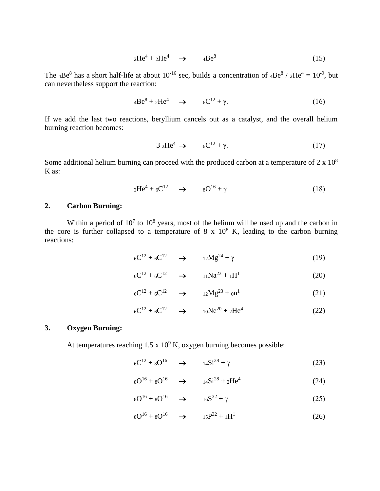$$
{}_{2}\text{He}^{4} + {}_{2}\text{He}^{4} \quad \rightarrow \qquad {}_{4}\text{Be}^{8} \tag{15}
$$

The  $4Be^8$  has a short half-life at about  $10^{-16}$  sec, builds a concentration of  $4Be^8$  /  $2He^4 = 10^{-9}$ , but can nevertheless support the reaction:

$$
{}_{4}\text{Be}^{8} + {}_{2}\text{He}^{4} \quad \rightarrow \qquad {}_{6}\text{C}^{12} + \gamma. \tag{16}
$$

If we add the last two reactions, beryllium cancels out as a catalyst, and the overall helium burning reaction becomes:

$$
3 \, \mathrm{2He^4} \rightarrow \qquad 6C^{12} + \gamma. \tag{17}
$$

Some additional helium burning can proceed with the produced carbon at a temperature of  $2 \times 10^8$ K as:

$$
{}_{2}\text{He}^{4} + {}_{6}\text{C}^{12} \quad \rightarrow \quad {}_{8}\text{O}^{16} + \gamma \tag{18}
$$

### **2. Carbon Burning:**

Within a period of  $10<sup>7</sup>$  to  $10<sup>8</sup>$  years, most of the helium will be used up and the carbon in the core is further collapsed to a temperature of 8 x  $10^8$  K, leading to the carbon burning reactions:

$$
{}_{6}C^{12} + {}_{6}C^{12} \longrightarrow {}_{12}Mg^{24} + \gamma \tag{19}
$$

$$
{}_{6}C^{12} + {}_{6}C^{12} \longrightarrow {}_{11}Na^{23} + {}_{1}H^{1} \tag{20}
$$

$$
{}_{6}C^{12} + {}_{6}C^{12} \longrightarrow {}_{12}Mg^{23} + {}_{0}n^{1}
$$
 (21)

$$
{}_{6}C^{12} + {}_{6}C^{12} \longrightarrow {}_{10}Ne^{20} + {}_{2}He^{4} \tag{22}
$$

### **3. Oxygen Burning:**

At temperatures reaching  $1.5 \times 10^9$  K, oxygen burning becomes possible:

$$
6C^{12} + 8O^{16} \longrightarrow 14Si^{28} + \gamma
$$
 (23)

$$
8O^{16} + 8O^{16} \longrightarrow 14Si^{28} + 2He^4 \tag{24}
$$

$$
8O^{16} + 8O^{16} \longrightarrow 16S^{32} + \gamma \tag{25}
$$

$$
80^{16} + 80^{16} \quad \rightarrow \quad 15^{22} + 1H^1 \tag{26}
$$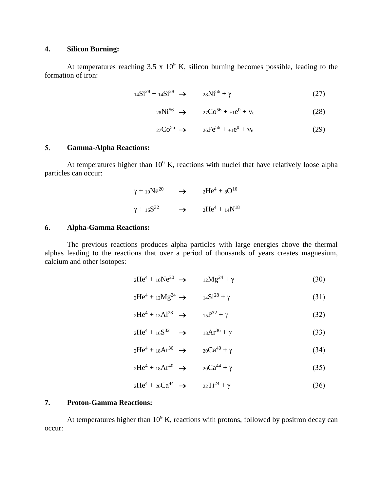# **4. Silicon Burning:**

At temperatures reaching  $3.5 \times 10^9$  K, silicon burning becomes possible, leading to the formation of iron:

$$
_{14}Si^{28} + {}_{14}Si^{28} \rightarrow {}_{28}Ni^{56} + \gamma
$$
 (27)

$$
{}_{28}\text{Ni}^{56} \rightarrow {}_{27}\text{Co}^{56} + {}_{+1}\text{e}^{0} + \text{v}_e
$$
 (28)

$$
27\text{Co}^{56} \rightarrow 26\text{Fe}^{56} + {}_{+1}e^{0} + \nu_e \tag{29}
$$

# **Gamma-Alpha Reactions:**

At temperatures higher than  $10^9$  K, reactions with nuclei that have relatively loose alpha particles can occur:

$$
\gamma + 10\text{Ne}^{20} \rightarrow 2\text{He}^4 + 8\text{O}^{16}
$$
  

$$
\gamma + 16\text{S}^{32} \rightarrow 2\text{He}^4 + 14\text{N}^{18}
$$

## **Alpha-Gamma Reactions:**

The previous reactions produces alpha particles with large energies above the thermal alphas leading to the reactions that over a period of thousands of years creates magnesium, calcium and other isotopes:

$$
{}_{2}\text{He}^{4} + {}_{10}\text{Ne}^{20} \rightarrow {}_{12}\text{Mg}^{24} + \gamma
$$
 (30)

$$
{}_{2}\text{He}^{4} + {}_{12}\text{Mg}^{24} \rightarrow {}_{14}\text{Si}^{28} + \gamma
$$
\n
$$
(31)
$$

$$
{}_{2}\text{He}^{4} + {}_{13}\text{Al}^{28} \rightarrow {}_{15}\text{P}^{32} + \gamma
$$
 (32)

$$
{}_{2}\text{He}^{4} + {}_{16}\text{S}^{32} \quad \rightarrow \quad {}_{18}\text{Ar}^{36} + \gamma \tag{33}
$$

$$
{}_{2}\text{He}^{4} + {}_{18}\text{Ar}^{36} \rightarrow {}_{20}\text{Ca}^{40} + \gamma
$$
 (34)

$$
{}_{2}\text{He}^{4} + {}_{18}\text{Ar}^{40} \rightarrow {}_{20}\text{Ca}^{44} + \gamma
$$
 (35)

$$
2He4 + 20Ca44 \rightarrow 22Ti24 + \gamma
$$
 (36)

### **7. Proton-Gamma Reactions:**

At temperatures higher than  $10^9$  K, reactions with protons, followed by positron decay can occur: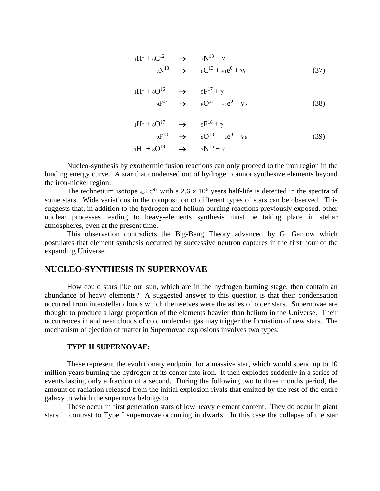$$
{}_{1}\mathrm{H}^{1} + {}_{6}\mathrm{C}^{12} \longrightarrow {}_{7}\mathrm{N}^{13} + \gamma
$$
\n
$$
{}_{7}\mathrm{N}^{13} \longrightarrow {}_{6}\mathrm{C}^{13} + {}_{1}\mathrm{e}^{0} + \mathrm{v}_{e}
$$
\n(37)

$$
{}_{1}\text{H}^{1} + {}_{8}\text{O}^{16} \longrightarrow {}_{9}\text{F}^{17} + \gamma
$$
  

$$
{}_{9}\text{F}^{17} \longrightarrow {}_{8}\text{O}^{17} + {}_{+1}\text{e}^{0} + \text{v}_{e}
$$
 (38)

$$
{}_{1}H^{1} + {}_{8}O^{17} \longrightarrow {}_{9}F^{18} + \gamma
$$
  
\n
$$
{}_{9}F^{18} \longrightarrow {}_{8}O^{18} + {}_{+1}e^{0} + \nu_{e}
$$
  
\n
$$
{}_{1}H^{1} + {}_{8}O^{18} \longrightarrow {}_{7}N^{15} + \gamma
$$
\n(39)

Nucleo-synthesis by exothermic fusion reactions can only proceed to the iron region in the binding energy curve. A star that condensed out of hydrogen cannot synthesize elements beyond the iron-nickel region.

The technetium isotope  $43Tc^{97}$  with a 2.6 x 10<sup>6</sup> years half-life is detected in the spectra of some stars. Wide variations in the composition of different types of stars can be observed. This suggests that, in addition to the hydrogen and helium burning reactions previously exposed, other nuclear processes leading to heavy-elements synthesis must be taking place in stellar atmospheres, even at the present time.

This observation contradicts the Big-Bang Theory advanced by G. Gamow which postulates that element synthesis occurred by successive neutron captures in the first hour of the expanding Universe.

### **NUCLEO-SYNTHESIS IN SUPERNOVAE**

How could stars like our sun, which are in the hydrogen burning stage, then contain an abundance of heavy elements? A suggested answer to this question is that their condensation occurred from interstellar clouds which themselves were the ashes of older stars. Supernovae are thought to produce a large proportion of the elements heavier than helium in the Universe. Their occurrences in and near clouds of cold molecular gas may trigger the formation of new stars. The mechanism of ejection of matter in Supernovae explosions involves two types:

#### **TYPE II SUPERNOVAE:**

These represent the evolutionary endpoint for a massive star, which would spend up to 10 million years burning the hydrogen at its center into iron. It then explodes suddenly in a series of events lasting only a fraction of a second. During the following two to three months period, the amount of radiation released from the initial explosion rivals that emitted by the rest of the entire galaxy to which the supernova belongs to.

These occur in first generation stars of low heavy element content. They do occur in giant stars in contrast to Type I supernovae occurring in dwarfs. In this case the collapse of the star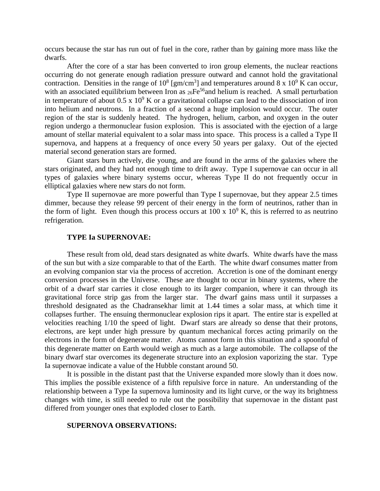occurs because the star has run out of fuel in the core, rather than by gaining more mass like the dwarfs.

After the core of a star has been converted to iron group elements, the nuclear reactions occurring do not generate enough radiation pressure outward and cannot hold the gravitational contraction. Densities in the range of  $10^8$  [gm/cm<sup>3</sup>] and temperatures around 8 x  $10^9$  K can occur, with an associated equilibrium between Iron as  ${}_{26}Fe^{56}$  and helium is reached. A small perturbation in temperature of about  $0.5 \times 10^9$  K or a gravitational collapse can lead to the dissociation of iron into helium and neutrons. In a fraction of a second a huge implosion would occur. The outer region of the star is suddenly heated. The hydrogen, helium, carbon, and oxygen in the outer region undergo a thermonuclear fusion explosion. This is associated with the ejection of a large amount of stellar material equivalent to a solar mass into space. This process is a called a Type II supernova, and happens at a frequency of once every 50 years per galaxy. Out of the ejected material second generation stars are formed.

Giant stars burn actively, die young, and are found in the arms of the galaxies where the stars originated, and they had not enough time to drift away. Type I supernovae can occur in all types of galaxies where binary systems occur, whereas Type II do not frequently occur in elliptical galaxies where new stars do not form.

Type II supernovae are more powerful than Type I supernovae, but they appear 2.5 times dimmer, because they release 99 percent of their energy in the form of neutrinos, rather than in the form of light. Even though this process occurs at  $100 \times 10^9$  K, this is referred to as neutrino refrigeration.

#### **TYPE Ia SUPERNOVAE:**

These result from old, dead stars designated as white dwarfs. White dwarfs have the mass of the sun but with a size comparable to that of the Earth. The white dwarf consumes matter from an evolving companion star via the process of accretion. Accretion is one of the dominant energy conversion processes in the Universe. These are thought to occur in binary systems, where the orbit of a dwarf star carries it close enough to its larger companion, where it can through its gravitational force strip gas from the larger star. The dwarf gains mass until it surpasses a threshold designated as the Chadransekhar limit at 1.44 times a solar mass, at which time it collapses further. The ensuing thermonuclear explosion rips it apart. The entire star is expelled at velocities reaching 1/10 the speed of light. Dwarf stars are already so dense that their protons, electrons, are kept under high pressure by quantum mechanical forces acting primarily on the electrons in the form of degenerate matter. Atoms cannot form in this situation and a spoonful of this degenerate matter on Earth would weigh as much as a large automobile. The collapse of the binary dwarf star overcomes its degenerate structure into an explosion vaporizing the star. Type Ia supernovae indicate a value of the Hubble constant around 50.

It is possible in the distant past that the Universe expanded more slowly than it does now. This implies the possible existence of a fifth repulsive force in nature. An understanding of the relationship between a Type Ia supernova luminosity and its light curve, or the way its brightness changes with time, is still needed to rule out the possibility that supernovae in the distant past differed from younger ones that exploded closer to Earth.

#### **SUPERNOVA OBSERVATIONS:**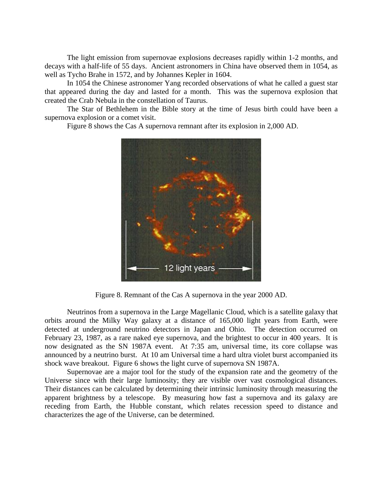The light emission from supernovae explosions decreases rapidly within 1-2 months, and decays with a half-life of 55 days. Ancient astronomers in China have observed them in 1054, as well as Tycho Brahe in 1572, and by Johannes Kepler in 1604.

In 1054 the Chinese astronomer Yang recorded observations of what he called a guest star that appeared during the day and lasted for a month. This was the supernova explosion that created the Crab Nebula in the constellation of Taurus.

The Star of Bethlehem in the Bible story at the time of Jesus birth could have been a supernova explosion or a comet visit.

Figure 8 shows the Cas A supernova remnant after its explosion in 2,000 AD.



Figure 8. Remnant of the Cas A supernova in the year 2000 AD.

Neutrinos from a supernova in the Large Magellanic Cloud, which is a satellite galaxy that orbits around the Milky Way galaxy at a distance of 165,000 light years from Earth, were detected at underground neutrino detectors in Japan and Ohio. The detection occurred on February 23, 1987, as a rare naked eye supernova, and the brightest to occur in 400 years. It is now designated as the SN 1987A event. At 7:35 am, universal time, its core collapse was announced by a neutrino burst. At 10 am Universal time a hard ultra violet burst accompanied its shock wave breakout. Figure 6 shows the light curve of supernova SN 1987A.

Supernovae are a major tool for the study of the expansion rate and the geometry of the Universe since with their large luminosity; they are visible over vast cosmological distances. Their distances can be calculated by determining their intrinsic luminosity through measuring the apparent brightness by a telescope. By measuring how fast a supernova and its galaxy are receding from Earth, the Hubble constant, which relates recession speed to distance and characterizes the age of the Universe, can be determined.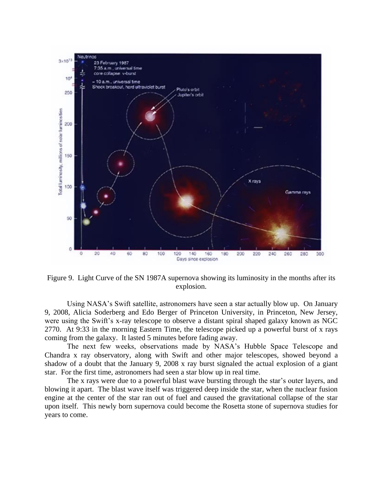

Figure 9. Light Curve of the SN 1987A supernova showing its luminosity in the months after its explosion.

Using NASA's Swift satellite, astronomers have seen a star actually blow up. On January 9, 2008, Alicia Soderberg and Edo Berger of Princeton University, in Princeton, New Jersey, were using the Swift's x-ray telescope to observe a distant spiral shaped galaxy known as NGC 2770. At 9:33 in the morning Eastern Time, the telescope picked up a powerful burst of x rays coming from the galaxy. It lasted 5 minutes before fading away.

The next few weeks, observations made by NASA's Hubble Space Telescope and Chandra x ray observatory, along with Swift and other major telescopes, showed beyond a shadow of a doubt that the January 9, 2008 x ray burst signaled the actual explosion of a giant star. For the first time, astronomers had seen a star blow up in real time.

The x rays were due to a powerful blast wave bursting through the star's outer layers, and blowing it apart. The blast wave itself was triggered deep inside the star, when the nuclear fusion engine at the center of the star ran out of fuel and caused the gravitational collapse of the star upon itself. This newly born supernova could become the Rosetta stone of supernova studies for years to come.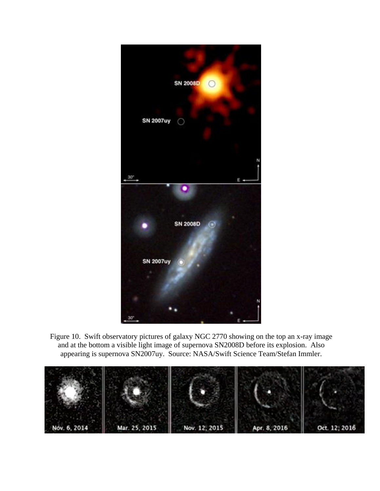

Figure 10. Swift observatory pictures of galaxy NGC 2770 showing on the top an x-ray image and at the bottom a visible light image of supernova SN2008D before its explosion. Also appearing is supernova SN2007uy. Source: NASA/Swift Science Team/Stefan Immler.

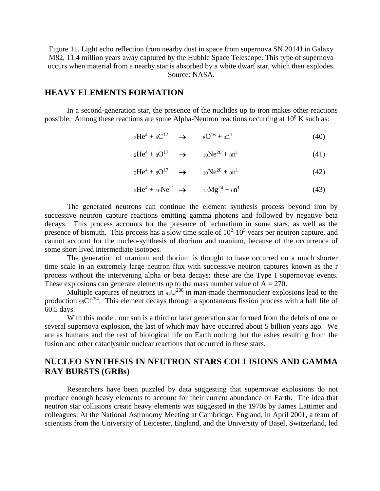Figure 11. Light echo reflection from nearby dust in space from supernova SN 2014J in Galaxy M82, 11.4 million years away captured by the Hubble Space Telescope. This type of supernova occurs when material from a nearby star is absorbed by a white dwarf star, which then explodes. Source: NASA.

# **HEAVY ELEMENTS FORMATION**

In a second-generation star, the presence of the nuclides up to iron makes other reactions possible. Among these reactions are some Alpha-Neutron reactions occurring at  $10^8$  K such as:

$$
{}_{2}\text{He}^{4} + {}_{6}\text{C}^{12} \quad \rightarrow \quad {}_{8}\text{O}^{16} + {}_{0}\text{n}^{1} \tag{40}
$$

$$
{}_{2}\text{He}^{4} + {}_{8}\text{O}^{17} \quad \rightarrow \quad {}_{10}\text{Ne}^{20} + {}_{0}\text{n}^{1} \tag{41}
$$

$$
{}_{2}\text{He}^{4} + {}_{8}\text{O}^{17} \quad \rightarrow \quad {}_{10}\text{Ne}^{20} + {}_{0}\text{n}^{1} \tag{42}
$$

$$
{}_{2}\text{He}^{4} + {}_{10}\text{Ne}^{21} \rightarrow {}_{12}\text{Mg}^{24} + {}_{0}\text{n}^{1}
$$
\n(43)

The generated neutrons can continue the element synthesis process beyond iron by successive neutron capture reactions emitting gamma photons and followed by negative beta decays. This process accounts for the presence of technetium in some stars, as well as the presence of bismuth. This process has a slow time scale of  $10^2$ - $10^5$  years per neutron capture, and cannot account for the nucleo-synthesis of thorium and uranium, because of the occurrence of some short lived intermediate isotopes.

The generation of uranium and thorium is thought to have occurred on a much shorter time scale in an extremely large neutron flux with successive neutron captures known as the r process without the intervening alpha or beta decays: these are the Type I supernovae events. These explosions can generate elements up to the mass number value of  $A = 270$ .

Multiple captures of neutrons in  $92U^{238}$  in man-made thermonuclear explosions lead to the production  $98Cf^{254}$ . This element decays through a spontaneous fission process with a half life of 60.5 days.

With this model, our sun is a third or later generation star formed from the debris of one or several supernova explosion, the last of which may have occurred about 5 billion years ago. We are as humans and the rest of biological life on Earth nothing but the ashes resulting from the fusion and other cataclysmic nuclear reactions that occurred in these stars.

# **NUCLEO SYNTHESIS IN NEUTRON STARS COLLISIONS AND GAMMA RAY BURSTS (GRBs)**

Researchers have been puzzled by data suggesting that supernovae explosions do not produce enough heavy elements to account for their current abundance on Earth. The idea that neutron star collisions create heavy elements was suggested in the 1970s by James Lattimer and colleagues. At the National Astronomy Meeting at Cambridge, England, in April 2001, a team of scientists from the University of Leicester, England, and the University of Basel, Switzerland, led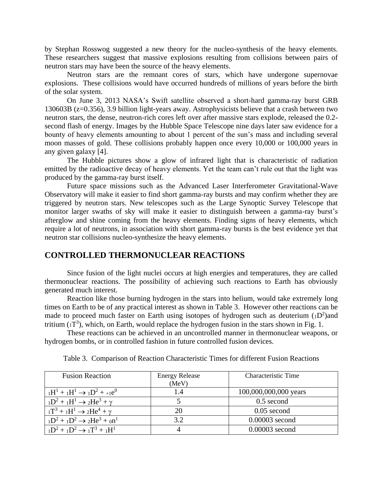by Stephan Rosswog suggested a new theory for the nucleo-synthesis of the heavy elements. These researchers suggest that massive explosions resulting from collisions between pairs of neutron stars may have been the source of the heavy elements.

Neutron stars are the remnant cores of stars, which have undergone supernovae explosions. These collisions would have occurred hundreds of millions of years before the birth of the solar system.

On June 3, 2013 NASA's Swift satellite observed a short-hard gamma-ray burst GRB 130603B (z=0.356), 3.9 billion light-years away. Astrophysicists believe that a crash between two neutron stars, the dense, neutron-rich cores left over after massive stars explode, released the 0.2 second flash of energy. Images by the Hubble Space Telescope nine days later saw evidence for a bounty of heavy elements amounting to about 1 percent of the sun's mass and including several moon masses of gold. These collisions probably happen once every 10,000 or 100,000 years in any given galaxy [4].

The Hubble pictures show a glow of infrared light that is characteristic of radiation emitted by the radioactive decay of heavy elements. Yet the team can't rule out that the light was produced by the gamma-ray burst itself.

Future space missions such as the Advanced Laser Interferometer Gravitational-Wave Observatory will make it easier to find short gamma-ray bursts and may confirm whether they are triggered by neutron stars. New telescopes such as the Large Synoptic Survey Telescope that monitor larger swaths of sky will make it easier to distinguish between a gamma-ray burst's afterglow and shine coming from the heavy elements. Finding signs of heavy elements, which require a lot of neutrons, in association with short gamma-ray bursts is the best evidence yet that neutron star collisions nucleo-synthesize the heavy elements.

# **CONTROLLED THERMONUCLEAR REACTIONS**

Since fusion of the light nuclei occurs at high energies and temperatures, they are called thermonuclear reactions. The possibility of achieving such reactions to Earth has obviously generated much interest.

Reaction like those burning hydrogen in the stars into helium, would take extremely long times on Earth to be of any practical interest as shown in Table 3. However other reactions can be made to proceed much faster on Earth using isotopes of hydrogen such as deuterium  $(1D^2)$  and tritium  $(T^3)$ , which, on Earth, would replace the hydrogen fusion in the stars shown in Fig. 1.

These reactions can be achieved in an uncontrolled manner in thermonuclear weapons, or hydrogen bombs, or in controlled fashion in future controlled fusion devices.

| <b>Fusion Reaction</b>                   | <b>Energy Release</b><br>(MeV) | <b>Characteristic Time</b> |
|------------------------------------------|--------------------------------|----------------------------|
| $1H^1 + 1H^1 \rightarrow 1D^2 + 1e^{0}$  | 1.4                            | 100,000,000,000 years      |
| $1D^2 + 1H^1 \rightarrow 2He^3 + \gamma$ |                                | $0.5$ second               |
| $1T^3 + 1H^1 \rightarrow 2He^4 + \gamma$ | 20                             | $0.05$ second              |
| $1D^2 + 1D^2 \rightarrow 2He^3 + 0P^1$   | 3.2                            | $0.00003$ second           |
| $1D^2 + 1D^2 \rightarrow 1T^3 + 1H^1$    |                                | $0.00003$ second           |

Table 3. Comparison of Reaction Characteristic Times for different Fusion Reactions